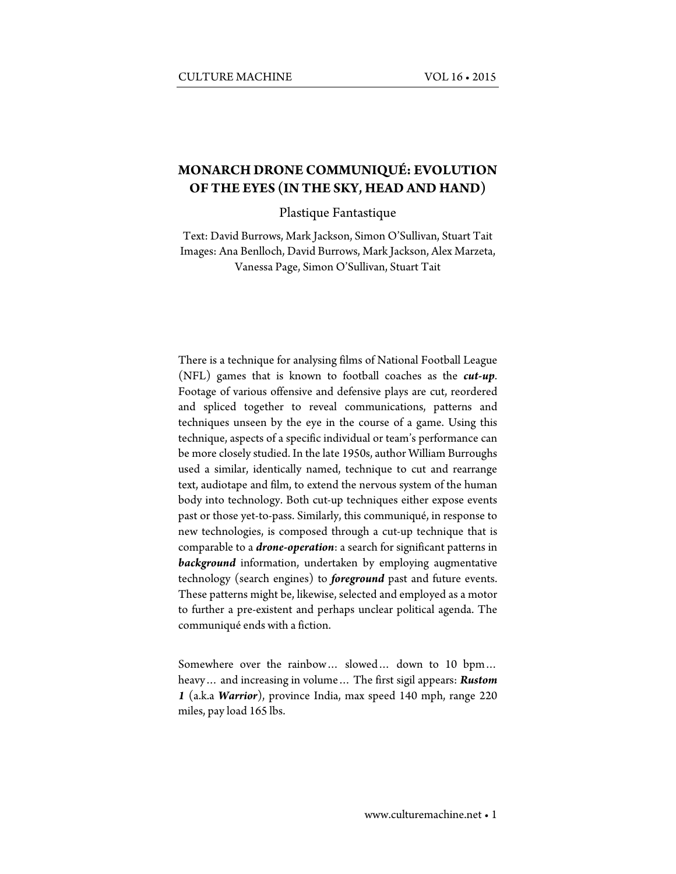# **MONARCH DRONE COMMUNIQUÉ: EVOLUTION OF THE EYES (IN THE SKY, HEAD AND HAND)**

Plastique Fantastique

Text: David Burrows, Mark Jackson, Simon O'Sullivan, Stuart Tait Images: Ana Benlloch, David Burrows, Mark Jackson, Alex Marzeta, Vanessa Page, Simon O'Sullivan, Stuart Tait

There is a technique for analysing films of National Football League (NFL) games that is known to football coaches as the *cut-up*. Footage of various offensive and defensive plays are cut, reordered and spliced together to reveal communications, patterns and techniques unseen by the eye in the course of a game. Using this technique, aspects of a specific individual or team's performance can be more closely studied. In the late 1950s, author William Burroughs used a similar, identically named, technique to cut and rearrange text, audiotape and film, to extend the nervous system of the human body into technology. Both cut-up techniques either expose events past or those yet-to-pass. Similarly, this communiqué, in response to new technologies, is composed through a cut-up technique that is comparable to a *drone-operation*: a search for significant patterns in *background* information, undertaken by employing augmentative technology (search engines) to *foreground* past and future events. These patterns might be, likewise, selected and employed as a motor to further a pre-existent and perhaps unclear political agenda. The communiqué ends with a fiction.

Somewhere over the rainbow… slowed… down to 10 bpm… heavy… and increasing in volume… The first sigil appears: *Rustom 1* (a.k.a *Warrior*), province India, max speed 140 mph, range 220 miles, pay load 165 lbs.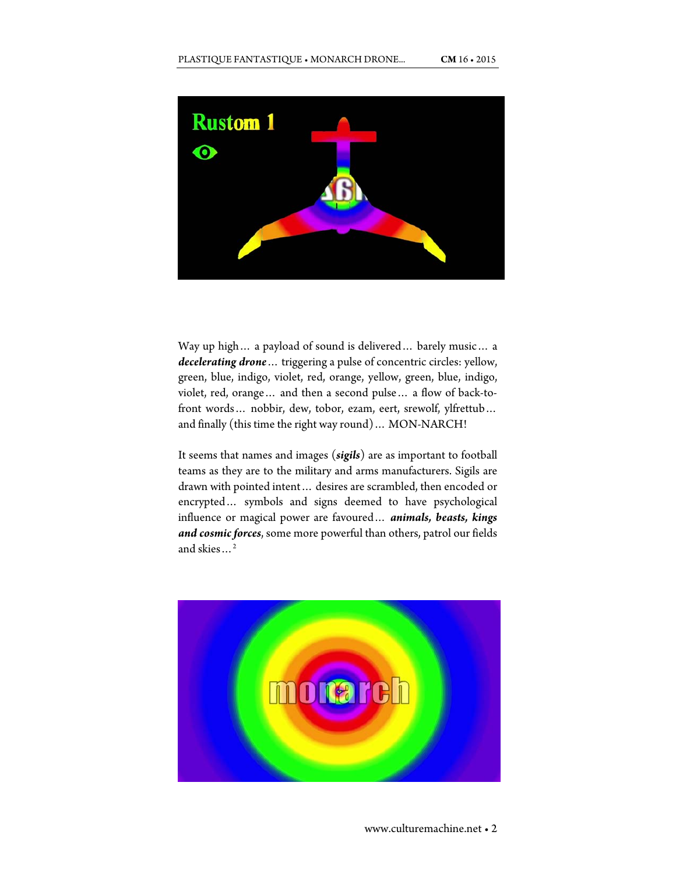

Way up high… a payload of sound is delivered… barely music… a *decelerating drone*… triggering a pulse of concentric circles: yellow, green, blue, indigo, violet, red, orange, yellow, green, blue, indigo, violet, red, orange… and then a second pulse… a flow of back-tofront words… nobbir, dew, tobor, ezam, eert, srewolf, ylfrettub… and finally (this time the right way round)… MON-NARCH!

It seems that names and images (*sigils*) are as important to football teams as they are to the military and arms manufacturers. Sigils are drawn with pointed intent… desires are scrambled, then encoded or encrypted… symbols and signs deemed to have psychological influence or magical power are favoured… *animals, beasts, kings and cosmic forces*, some more powerful than others, patrol our fields and skies…2

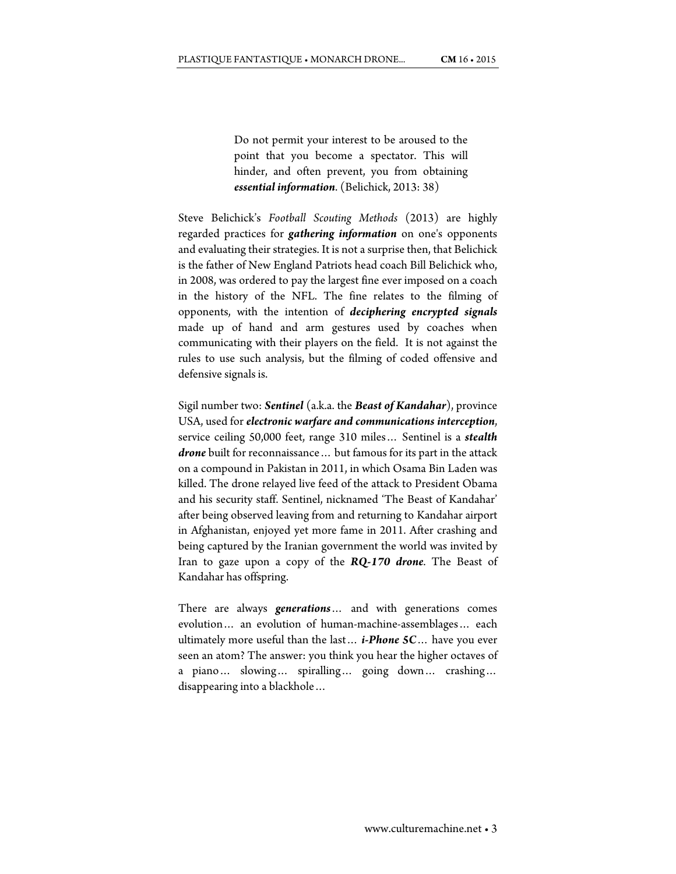Do not permit your interest to be aroused to the point that you become a spectator. This will hinder, and often prevent, you from obtaining *essential information*. (Belichick, 2013: 38)

Steve Belichick's *Football Scouting Methods* (2013) are highly regarded practices for *gathering information* on one's opponents and evaluating their strategies. It is not a surprise then, that Belichick is the father of New England Patriots head coach Bill Belichick who, in 2008, was ordered to pay the largest fine ever imposed on a coach in the history of the NFL. The fine relates to the filming of opponents, with the intention of *deciphering encrypted signals* made up of hand and arm gestures used by coaches when communicating with their players on the field. It is not against the rules to use such analysis, but the filming of coded offensive and defensive signals is.

Sigil number two: *Sentinel* (a.k.a. the *Beast of Kandahar*), province USA, used for *electronic warfare and communications interception*, service ceiling 50,000 feet, range 310 miles… Sentinel is a *stealth drone* built for reconnaissance… but famous for its part in the attack on a compound in Pakistan in 2011, in which Osama Bin Laden was killed. The drone relayed live feed of the attack to President Obama and his security staff. Sentinel, nicknamed 'The Beast of Kandahar' after being observed leaving from and returning to Kandahar airport in Afghanistan, enjoyed yet more fame in 2011. After crashing and being captured by the Iranian government the world was invited by Iran to gaze upon a copy of the *RQ-170 drone*. The Beast of Kandahar has offspring.

There are always *generations*… and with generations comes evolution… an evolution of human-machine-assemblages… each ultimately more useful than the last… *i-Phone 5C*… have you ever seen an atom? The answer: you think you hear the higher octaves of a piano… slowing… spiralling… going down… crashing… disappearing into a blackhole…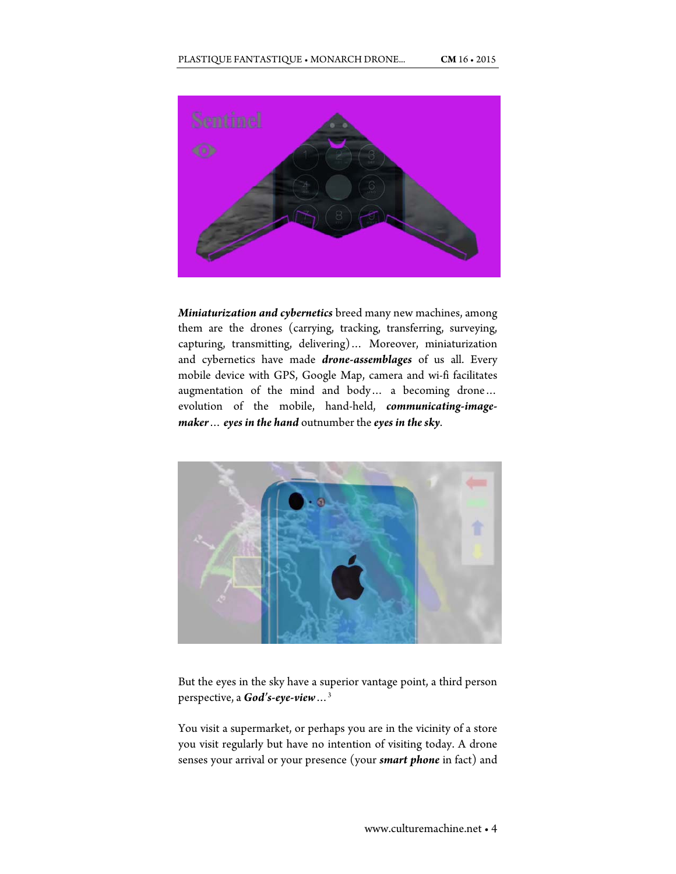

*Miniaturization and cybernetics* breed many new machines, among them are the drones (carrying, tracking, transferring, surveying, capturing, transmitting, delivering)… Moreover, miniaturization and cybernetics have made *drone-assemblages* of us all. Every mobile device with GPS, Google Map, camera and wi-fi facilitates augmentation of the mind and body… a becoming drone… evolution of the mobile, hand-held, *communicating-imagemaker*… *eyes in the hand* outnumber the *eyes in the sky*.



But the eyes in the sky have a superior vantage point, a third person perspective, a *God's-eye-view*…3

You visit a supermarket, or perhaps you are in the vicinity of a store you visit regularly but have no intention of visiting today. A drone senses your arrival or your presence (your *smart phone* in fact) and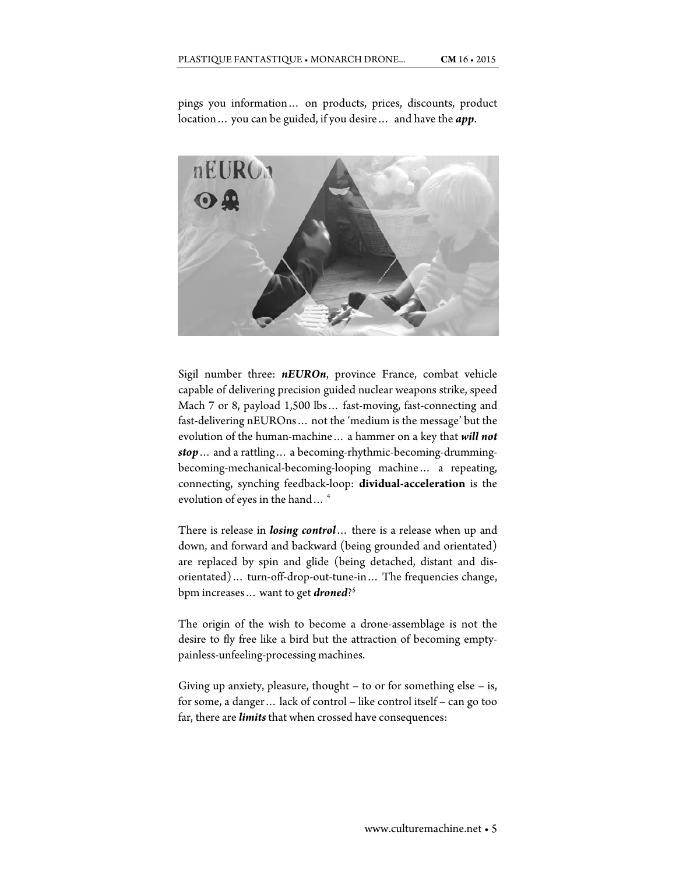pings you information… on products, prices, discounts, product location… you can be guided, if you desire… and have the *app*.



Sigil number three: *nEUROn*, province France, combat vehicle capable of delivering precision guided nuclear weapons strike, speed Mach 7 or 8, payload 1,500 lbs… fast-moving, fast-connecting and fast-delivering nEUROns… not the 'medium is the message' but the evolution of the human-machine… a hammer on a key that *will not stop*… and a rattling… a becoming-rhythmic-becoming-drummingbecoming-mechanical-becoming-looping machine… a repeating, connecting, synching feedback-loop: **dividual-acceleration** is the evolution of eyes in the hand… 4

There is release in *losing control*… there is a release when up and down, and forward and backward (being grounded and orientated) are replaced by spin and glide (being detached, distant and disorientated)… turn-off-drop-out-tune-in… The frequencies change, bpm increases… want to get *droned*?5

The origin of the wish to become a drone-assemblage is not the desire to fly free like a bird but the attraction of becoming emptypainless-unfeeling-processing machines.

Giving up anxiety, pleasure, thought – to or for something else – is, for some, a danger… lack of control – like control itself – can go too far, there are *limits* that when crossed have consequences: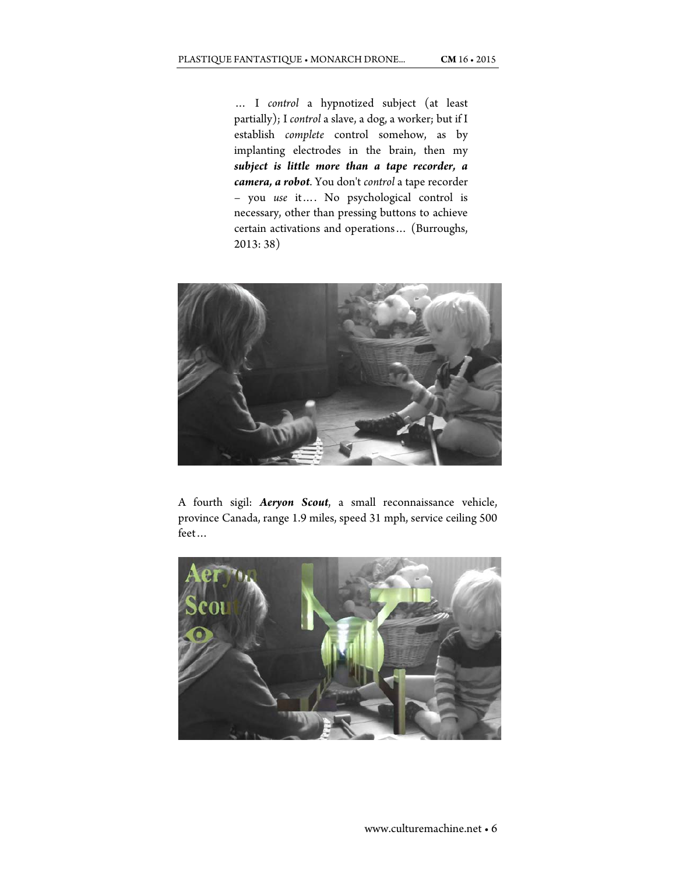… I *control* a hypnotized subject (at least partially); I *control* a slave, a dog, a worker; but if I establish *complete* control somehow, as by implanting electrodes in the brain, then my *subject is little more than a tape recorder, a camera, a robot*. You don't *control* a tape recorder – you *use* it…. No psychological control is necessary, other than pressing buttons to achieve certain activations and operations… (Burroughs, 2013: 38)



A fourth sigil: *Aeryon Scout*, a small reconnaissance vehicle, province Canada, range 1.9 miles, speed 31 mph, service ceiling 500 feet…

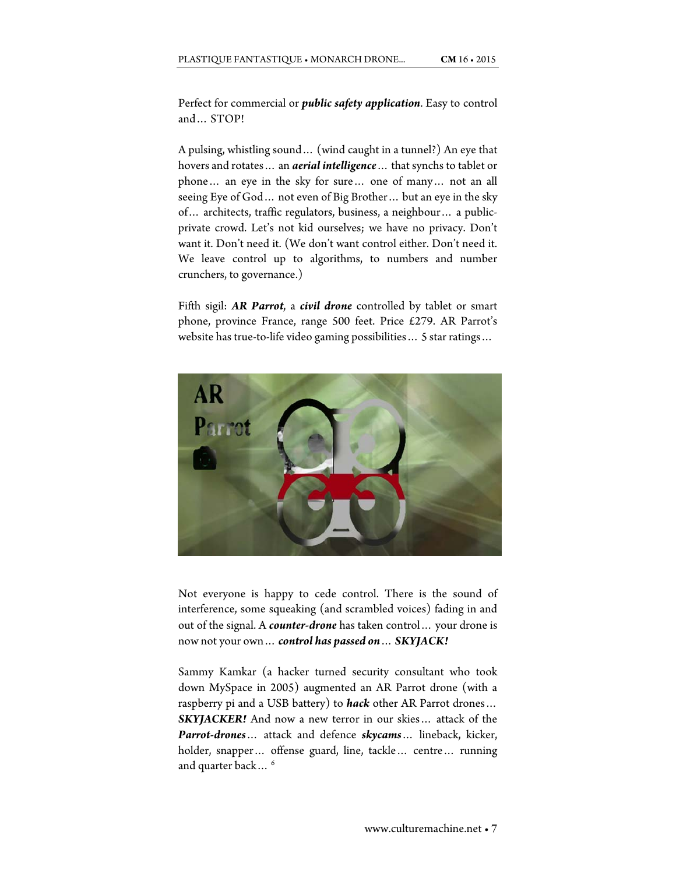Perfect for commercial or *public safety application*. Easy to control and… STOP!

A pulsing, whistling sound… (wind caught in a tunnel?) An eye that hovers and rotates… an *aerial intelligence*… that synchs to tablet or phone… an eye in the sky for sure… one of many… not an all seeing Eye of God… not even of Big Brother… but an eye in the sky of… architects, traffic regulators, business, a neighbour… a publicprivate crowd. Let's not kid ourselves; we have no privacy. Don't want it. Don't need it. (We don't want control either. Don't need it. We leave control up to algorithms, to numbers and number crunchers, to governance.)

Fifth sigil: *AR Parrot*, a *civil drone* controlled by tablet or smart phone, province France, range 500 feet. Price £279. AR Parrot's website has true-to-life video gaming possibilities… 5 star ratings…



Not everyone is happy to cede control. There is the sound of interference, some squeaking (and scrambled voices) fading in and out of the signal. A *counter-drone* has taken control… your drone is now not your own… *control has passed on*… *SKYJACK!*

Sammy Kamkar (a hacker turned security consultant who took down MySpace in 2005) augmented an AR Parrot drone (with a raspberry pi and a USB battery) to *hack* other AR Parrot drones… *SKYJACKER!* And now a new terror in our skies… attack of the *Parrot-drones*… attack and defence *skycams*… lineback, kicker, holder, snapper… offense guard, line, tackle… centre… running and quarter back...<sup>6</sup>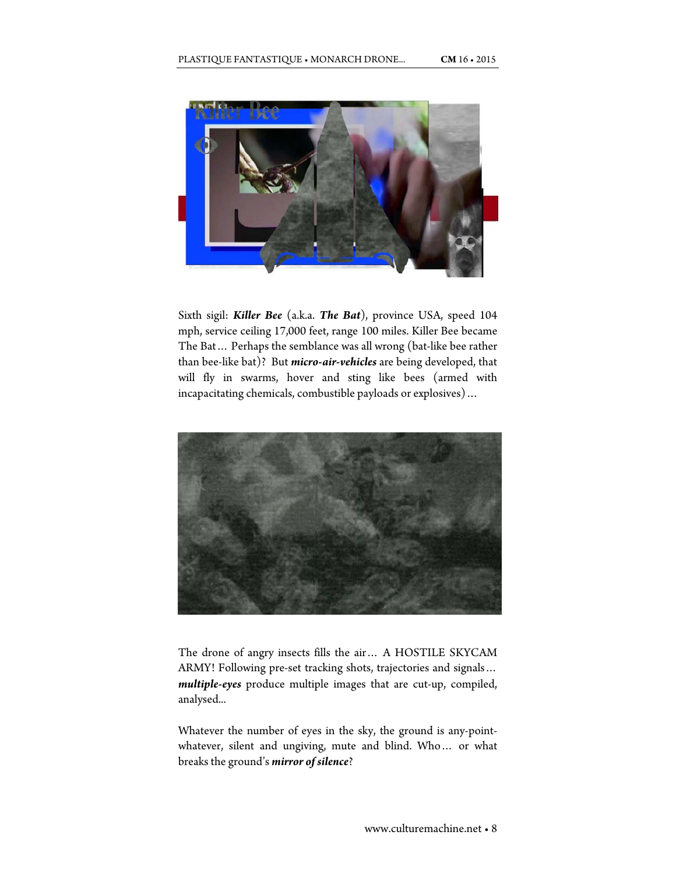

Sixth sigil: *Killer Bee* (a.k.a. *The Bat*), province USA, speed 104 mph, service ceiling 17,000 feet, range 100 miles. Killer Bee became The Bat… Perhaps the semblance was all wrong (bat-like bee rather than bee-like bat)? But *micro-air-vehicles* are being developed, that will fly in swarms, hover and sting like bees (armed with incapacitating chemicals, combustible payloads or explosives)…



The drone of angry insects fills the air… A HOSTILE SKYCAM ARMY! Following pre-set tracking shots, trajectories and signals… *multiple-eyes* produce multiple images that are cut-up, compiled, analysed...

Whatever the number of eyes in the sky, the ground is any-pointwhatever, silent and ungiving, mute and blind. Who… or what breaks the ground's *mirror of silence*?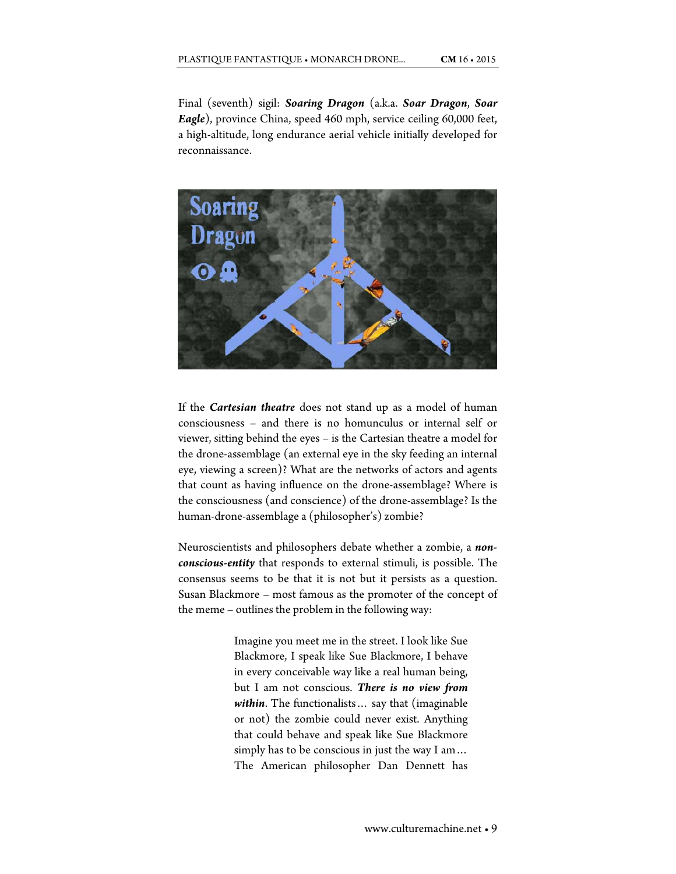Final (seventh) sigil: *Soaring Dragon* (a.k.a. *Soar Dragon*, *Soar Eagle*), province China, speed 460 mph, service ceiling 60,000 feet, a high-altitude, long endurance aerial vehicle initially developed for reconnaissance.



If the *Cartesian theatre* does not stand up as a model of human consciousness – and there is no homunculus or internal self or viewer, sitting behind the eyes – is the Cartesian theatre a model for the drone-assemblage (an external eye in the sky feeding an internal eye, viewing a screen)? What are the networks of actors and agents that count as having influence on the drone-assemblage? Where is the consciousness (and conscience) of the drone-assemblage? Is the human-drone-assemblage a (philosopher's) zombie?

Neuroscientists and philosophers debate whether a zombie, a *nonconscious-entity* that responds to external stimuli, is possible. The consensus seems to be that it is not but it persists as a question. Susan Blackmore – most famous as the promoter of the concept of the meme – outlines the problem in the following way:

> Imagine you meet me in the street. I look like Sue Blackmore, I speak like Sue Blackmore, I behave in every conceivable way like a real human being, but I am not conscious. *There is no view from within*. The functionalists… say that (imaginable or not) the zombie could never exist. Anything that could behave and speak like Sue Blackmore simply has to be conscious in just the way I am… The American philosopher Dan Dennett has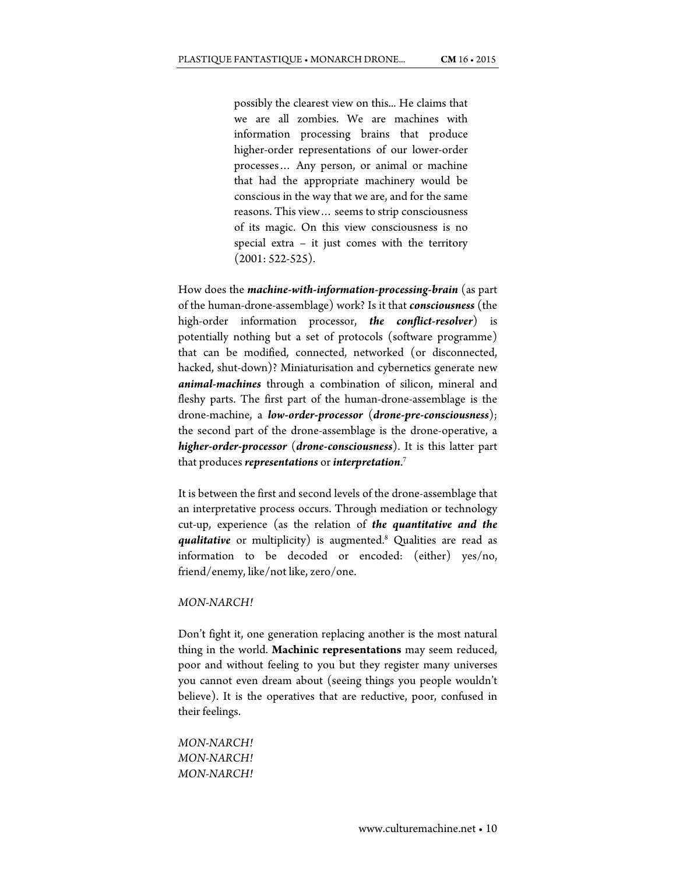possibly the clearest view on this... He claims that we are all zombies. We are machines with information processing brains that produce higher-order representations of our lower-order processes… Any person, or animal or machine that had the appropriate machinery would be conscious in the way that we are, and for the same reasons. This view… seems to strip consciousness of its magic. On this view consciousness is no special extra – it just comes with the territory (2001: 522-525).

How does the *machine-with-information-processing-brain* (as part of the human-drone-assemblage) work? Is it that *consciousness* (the high-order information processor, *the conflict-resolver*) is potentially nothing but a set of protocols (software programme) that can be modified, connected, networked (or disconnected, hacked, shut-down)? Miniaturisation and cybernetics generate new *animal-machines* through a combination of silicon, mineral and fleshy parts. The first part of the human-drone-assemblage is the drone-machine, a *low-order-processor* (*drone-pre-consciousness*); the second part of the drone-assemblage is the drone-operative, a *higher-order-processor* (*drone-consciousness*). It is this latter part that produces *representations* or *interpretation*. 7

It is between the first and second levels of the drone-assemblage that an interpretative process occurs. Through mediation or technology cut-up, experience (as the relation of *the quantitative and the qualitative* or multiplicity) is augmented.8 Qualities are read as information to be decoded or encoded: (either) yes/no, friend/enemy, like/not like, zero/one.

#### *MON-NARCH!*

Don't fight it, one generation replacing another is the most natural thing in the world. **Machinic representations** may seem reduced, poor and without feeling to you but they register many universes you cannot even dream about (seeing things you people wouldn't believe). It is the operatives that are reductive, poor, confused in their feelings.

```
MON-NARCH! 
MON-NARCH! 
MON-NARCH!
```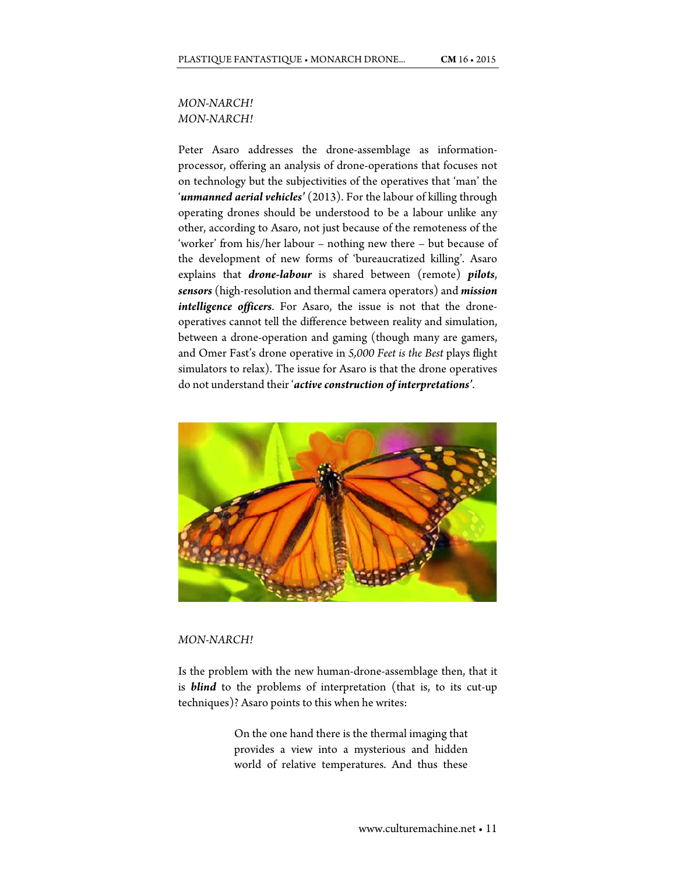## *MON-NARCH! MON-NARCH!*

Peter Asaro addresses the drone-assemblage as informationprocessor, offering an analysis of drone-operations that focuses not on technology but the subjectivities of the operatives that 'man' the '*unmanned aerial vehicles'* (2013). For the labour of killing through operating drones should be understood to be a labour unlike any other, according to Asaro, not just because of the remoteness of the 'worker' from his/her labour – nothing new there – but because of the development of new forms of 'bureaucratized killing'. Asaro explains that *drone-labour* is shared between (remote) *pilots*, *sensors* (high-resolution and thermal camera operators) and *mission intelligence officers*. For Asaro, the issue is not that the droneoperatives cannot tell the difference between reality and simulation, between a drone-operation and gaming (though many are gamers, and Omer Fast's drone operative in *5,000 Feet is the Best* plays flight simulators to relax). The issue for Asaro is that the drone operatives do not understand their '*active construction of interpretations'*.



#### *MON-NARCH!*

Is the problem with the new human-drone-assemblage then, that it is *blind* to the problems of interpretation (that is, to its cut-up techniques)? Asaro points to this when he writes:

> On the one hand there is the thermal imaging that provides a view into a mysterious and hidden world of relative temperatures. And thus these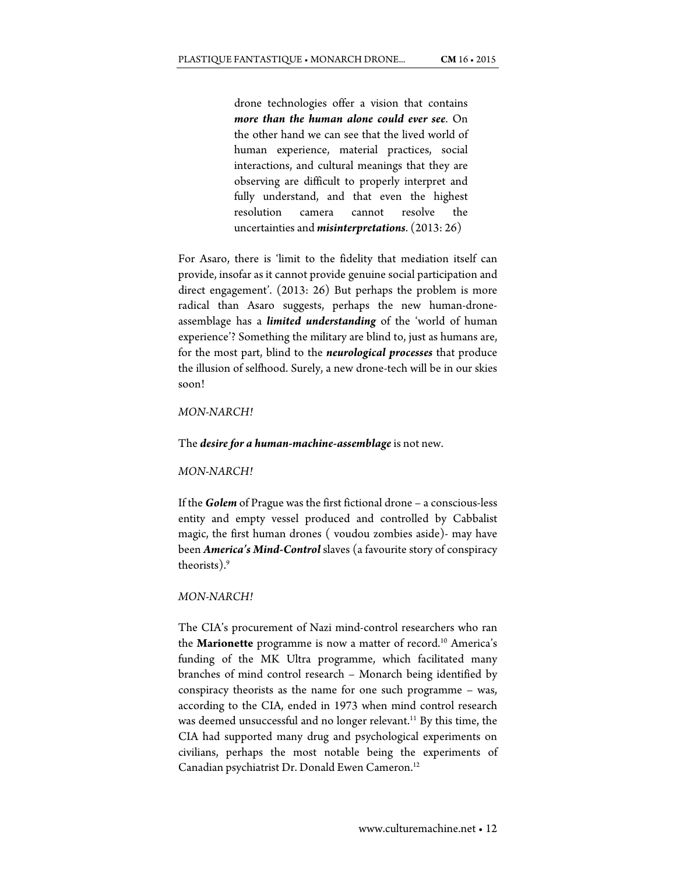drone technologies offer a vision that contains *more than the human alone could ever see*. On the other hand we can see that the lived world of human experience, material practices, social interactions, and cultural meanings that they are observing are difficult to properly interpret and fully understand, and that even the highest resolution camera cannot resolve the uncertainties and *misinterpretations*. (2013: 26)

For Asaro, there is 'limit to the fidelity that mediation itself can provide, insofar as it cannot provide genuine social participation and direct engagement'. (2013: 26) But perhaps the problem is more radical than Asaro suggests, perhaps the new human-droneassemblage has a *limited understanding* of the 'world of human experience'? Something the military are blind to, just as humans are, for the most part, blind to the *neurological processes* that produce the illusion of selfhood. Surely, a new drone-tech will be in our skies soon!

## *MON-NARCH!*

#### The *desire for a human-machine-assemblage* is not new.

#### *MON-NARCH!*

If the *Golem* of Prague was the first fictional drone – a conscious-less entity and empty vessel produced and controlled by Cabbalist magic, the first human drones ( voudou zombies aside)- may have been *America's Mind-Control* slaves (a favourite story of conspiracy theorists).9

## *MON-NARCH!*

The CIA's procurement of Nazi mind-control researchers who ran the **Marionette** programme is now a matter of record.<sup>10</sup> America's funding of the MK Ultra programme, which facilitated many branches of mind control research – Monarch being identified by conspiracy theorists as the name for one such programme – was, according to the CIA, ended in 1973 when mind control research was deemed unsuccessful and no longer relevant.<sup>11</sup> By this time, the CIA had supported many drug and psychological experiments on civilians, perhaps the most notable being the experiments of Canadian psychiatrist Dr. Donald Ewen Cameron.12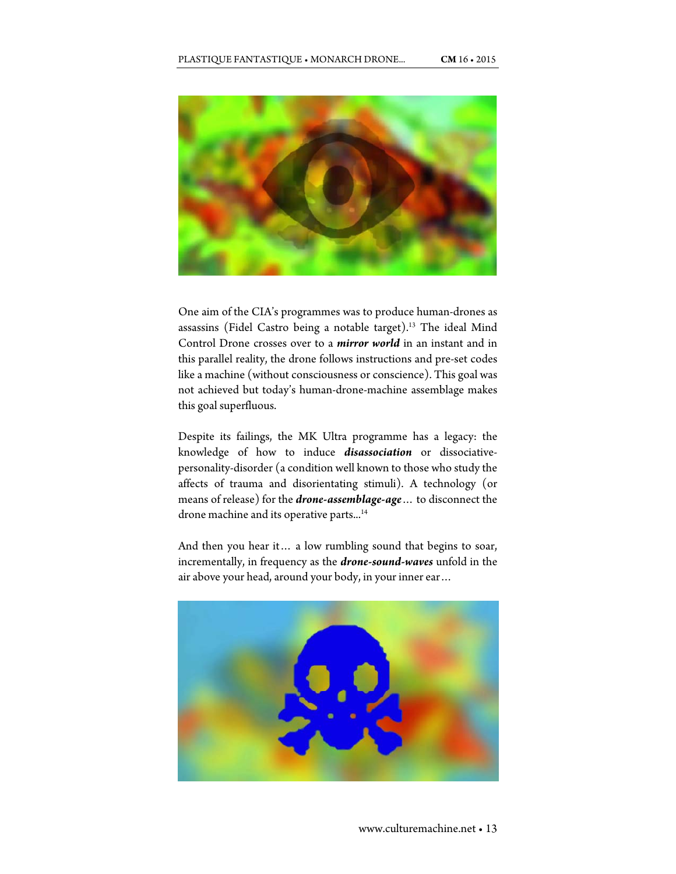

One aim of the CIA's programmes was to produce human-drones as assassins (Fidel Castro being a notable target).<sup>13</sup> The ideal Mind Control Drone crosses over to a *mirror world* in an instant and in this parallel reality, the drone follows instructions and pre-set codes like a machine (without consciousness or conscience). This goal was not achieved but today's human-drone-machine assemblage makes this goal superfluous.

Despite its failings, the MK Ultra programme has a legacy: the knowledge of how to induce *disassociation* or dissociativepersonality-disorder (a condition well known to those who study the affects of trauma and disorientating stimuli). A technology (or means of release) for the *drone-assemblage-age*… to disconnect the drone machine and its operative parts...<sup>14</sup>

And then you hear it… a low rumbling sound that begins to soar, incrementally, in frequency as the *drone-sound-waves* unfold in the air above your head, around your body, in your inner ear…

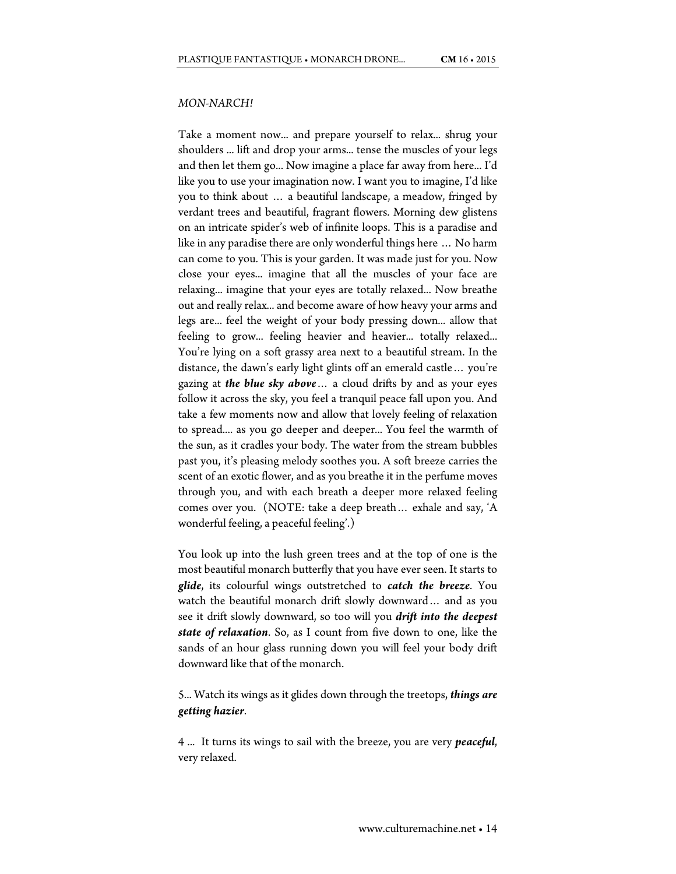## *MON-NARCH!*

Take a moment now... and prepare yourself to relax... shrug your shoulders ... lift and drop your arms... tense the muscles of your legs and then let them go... Now imagine a place far away from here... I'd like you to use your imagination now. I want you to imagine, I'd like you to think about … a beautiful landscape, a meadow, fringed by verdant trees and beautiful, fragrant flowers. Morning dew glistens on an intricate spider's web of infinite loops. This is a paradise and like in any paradise there are only wonderful things here … No harm can come to you. This is your garden. It was made just for you. Now close your eyes... imagine that all the muscles of your face are relaxing... imagine that your eyes are totally relaxed... Now breathe out and really relax... and become aware of how heavy your arms and legs are... feel the weight of your body pressing down... allow that feeling to grow... feeling heavier and heavier... totally relaxed... You're lying on a soft grassy area next to a beautiful stream. In the distance, the dawn's early light glints off an emerald castle… you're gazing at *the blue sky above*… a cloud drifts by and as your eyes follow it across the sky, you feel a tranquil peace fall upon you. And take a few moments now and allow that lovely feeling of relaxation to spread.... as you go deeper and deeper... You feel the warmth of the sun, as it cradles your body. The water from the stream bubbles past you, it's pleasing melody soothes you. A soft breeze carries the scent of an exotic flower, and as you breathe it in the perfume moves through you, and with each breath a deeper more relaxed feeling comes over you. (NOTE: take a deep breath… exhale and say, 'A wonderful feeling, a peaceful feeling'.)

You look up into the lush green trees and at the top of one is the most beautiful monarch butterfly that you have ever seen. It starts to *glide*, its colourful wings outstretched to *catch the breeze*. You watch the beautiful monarch drift slowly downward… and as you see it drift slowly downward, so too will you *drift into the deepest state of relaxation*. So, as I count from five down to one, like the sands of an hour glass running down you will feel your body drift downward like that of the monarch.

5... Watch its wings as it glides down through the treetops, *things are getting hazier*.

4 ... It turns its wings to sail with the breeze, you are very *peaceful*, very relaxed.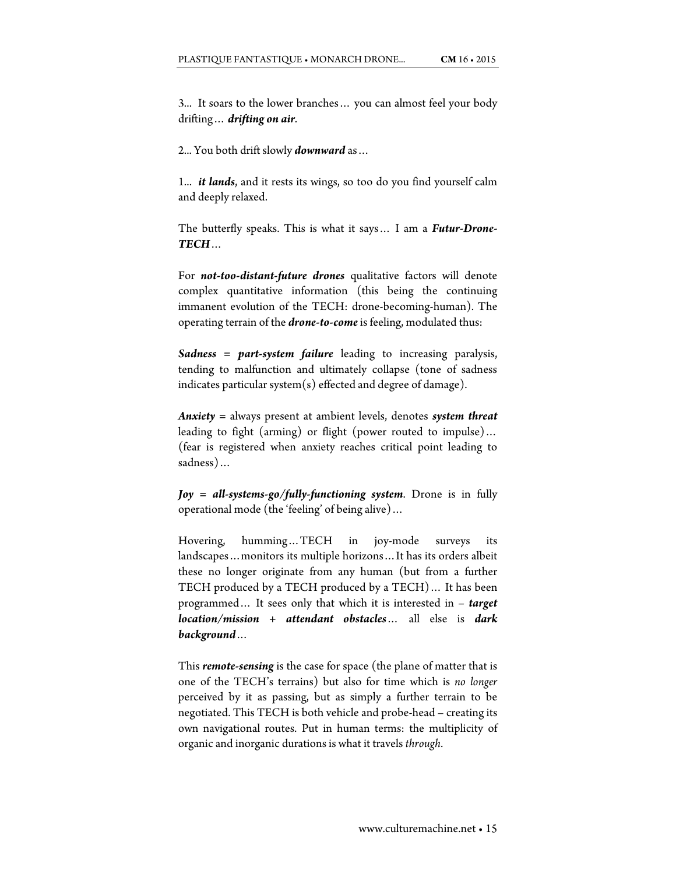3... It soars to the lower branches… you can almost feel your body drifting… *drifting on air*.

2... You both drift slowly *downward* as…

1... *it lands*, and it rests its wings, so too do you find yourself calm and deeply relaxed.

The butterfly speaks. This is what it says… I am a *Futur-Drone-TECH*…

For *not-too-distant-future drones* qualitative factors will denote complex quantitative information (this being the continuing immanent evolution of the TECH: drone-becoming-human). The operating terrain of the *drone-to-come* is feeling, modulated thus:

*Sadness = part-system failure* leading to increasing paralysis, tending to malfunction and ultimately collapse (tone of sadness indicates particular system $(s)$  effected and degree of damage).

*Anxiety =* always present at ambient levels, denotes *system threat* leading to fight (arming) or flight (power routed to impulse)… (fear is registered when anxiety reaches critical point leading to sadness)…

*Joy = all-systems-go/fully-functioning system*. Drone is in fully operational mode (the 'feeling' of being alive)…

Hovering, humming…TECH in joy-mode surveys its landscapes…monitors its multiple horizons…It has its orders albeit these no longer originate from any human (but from a further TECH produced by a TECH produced by a TECH)… It has been programmed… It sees only that which it is interested in – *target location/mission + attendant obstacles*… all else is *dark background*…

This *remote-sensing* is the case for space (the plane of matter that is one of the TECH's terrains) but also for time which is *no longer* perceived by it as passing, but as simply a further terrain to be negotiated. This TECH is both vehicle and probe-head – creating its own navigational routes. Put in human terms: the multiplicity of organic and inorganic durations is what it travels *through*.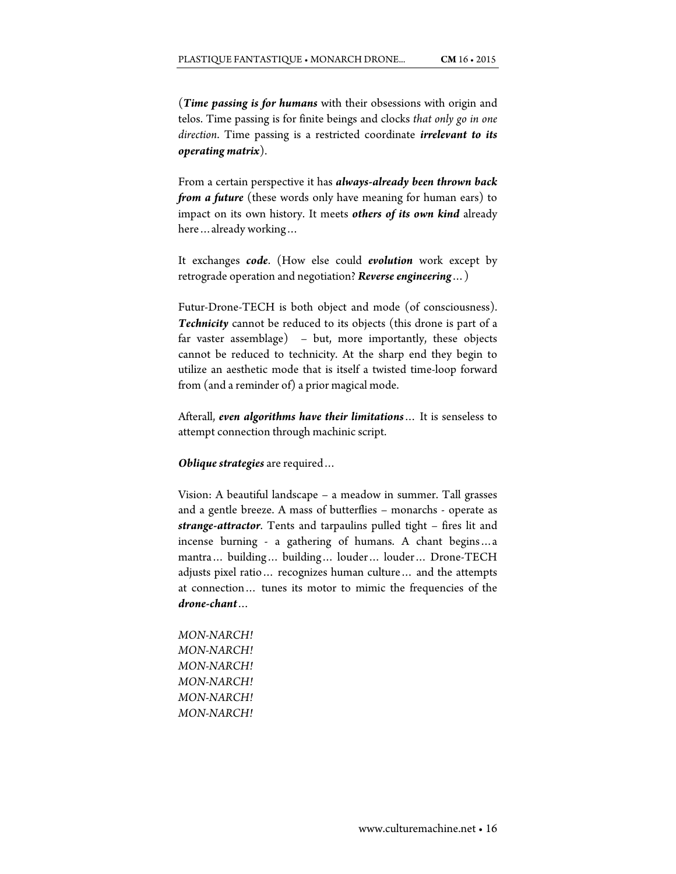(*Time passing is for humans* with their obsessions with origin and telos. Time passing is for finite beings and clocks *that only go in one direction*. Time passing is a restricted coordinate *irrelevant to its operating matrix*).

From a certain perspective it has *always-already been thrown back from a future* (these words only have meaning for human ears) to impact on its own history. It meets *others of its own kind* already here…already working…

It exchanges *code*. (How else could *evolution* work except by retrograde operation and negotiation? *Reverse engineering*…)

Futur-Drone-TECH is both object and mode (of consciousness). *Technicity* cannot be reduced to its objects (this drone is part of a far vaster assemblage) – but, more importantly, these objects cannot be reduced to technicity. At the sharp end they begin to utilize an aesthetic mode that is itself a twisted time-loop forward from (and a reminder of) a prior magical mode.

Afterall, *even algorithms have their limitations*… It is senseless to attempt connection through machinic script.

*Oblique strategies* are required…

Vision: A beautiful landscape – a meadow in summer. Tall grasses and a gentle breeze. A mass of butterflies – monarchs - operate as *strange-attractor*. Tents and tarpaulins pulled tight – fires lit and incense burning - a gathering of humans. A chant begins…a mantra… building… building… louder… louder… Drone-TECH adjusts pixel ratio… recognizes human culture… and the attempts at connection… tunes its motor to mimic the frequencies of the *drone-chant*…

*MON-NARCH! MON-NARCH! MON-NARCH! MON-NARCH! MON-NARCH! MON-NARCH!*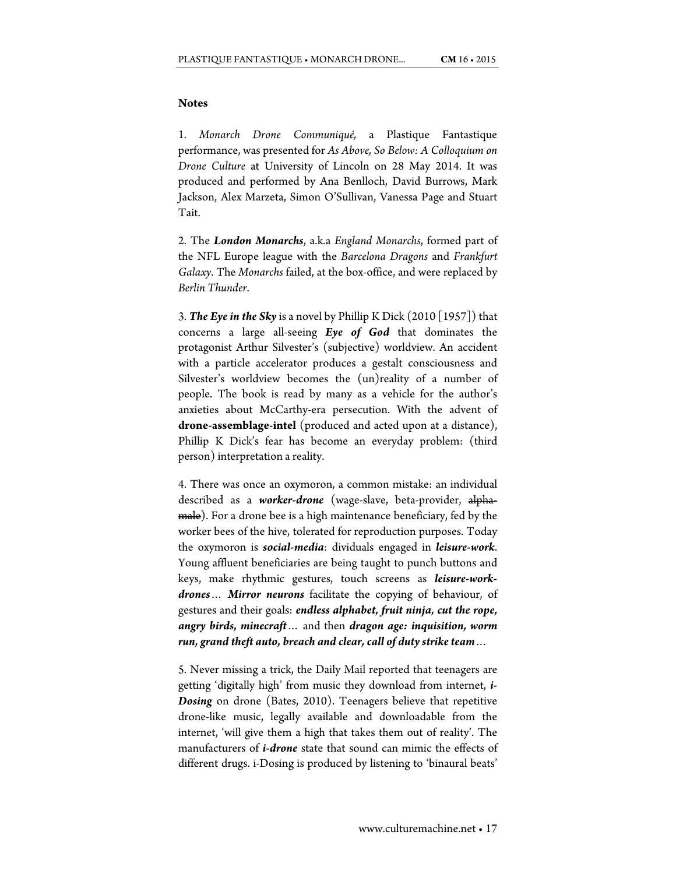#### **Notes**

1. *Monarch Drone Communiqué,* a Plastique Fantastique performance, was presented for *As Above, So Below: A Colloquium on Drone Culture* at University of Lincoln on 28 May 2014. It was produced and performed by Ana Benlloch, David Burrows, Mark Jackson, Alex Marzeta, Simon O'Sullivan, Vanessa Page and Stuart Tait.

2. The *London Monarchs*, a.k.a *England Monarchs*, formed part of the NFL Europe league with the *Barcelona Dragons* and *Frankfurt Galaxy*. The *Monarchs* failed, at the box-office, and were replaced by *Berlin Thunder*.

3. *The Eye in the Sky* is a novel by Phillip K Dick (2010 [1957]) that concerns a large all-seeing *Eye of God* that dominates the protagonist Arthur Silvester's (subjective) worldview. An accident with a particle accelerator produces a gestalt consciousness and Silvester's worldview becomes the (un)reality of a number of people. The book is read by many as a vehicle for the author's anxieties about McCarthy-era persecution. With the advent of **drone-assemblage-intel** (produced and acted upon at a distance), Phillip K Dick's fear has become an everyday problem: (third person) interpretation a reality.

4. There was once an oxymoron, a common mistake: an individual described as a *worker-drone* (wage-slave, beta-provider, alpha-<del>male</del>). For a drone bee is a high maintenance beneficiary, fed by the worker bees of the hive, tolerated for reproduction purposes. Today the oxymoron is *social-media*: dividuals engaged in *leisure-work*. Young affluent beneficiaries are being taught to punch buttons and keys, make rhythmic gestures, touch screens as *leisure-workdrones*… *Mirror neurons* facilitate the copying of behaviour, of gestures and their goals: *endless alphabet, fruit ninja, cut the rope, angry birds, minecraft*… and then *dragon age: inquisition, worm run, grand theft auto, breach and clear, call of duty strike team*…

5. Never missing a trick, the Daily Mail reported that teenagers are getting 'digitally high' from music they download from internet, *i-Dosing* on drone (Bates, 2010). Teenagers believe that repetitive drone-like music, legally available and downloadable from the internet, 'will give them a high that takes them out of reality'. The manufacturers of *i-drone* state that sound can mimic the effects of different drugs. i-Dosing is produced by listening to 'binaural beats'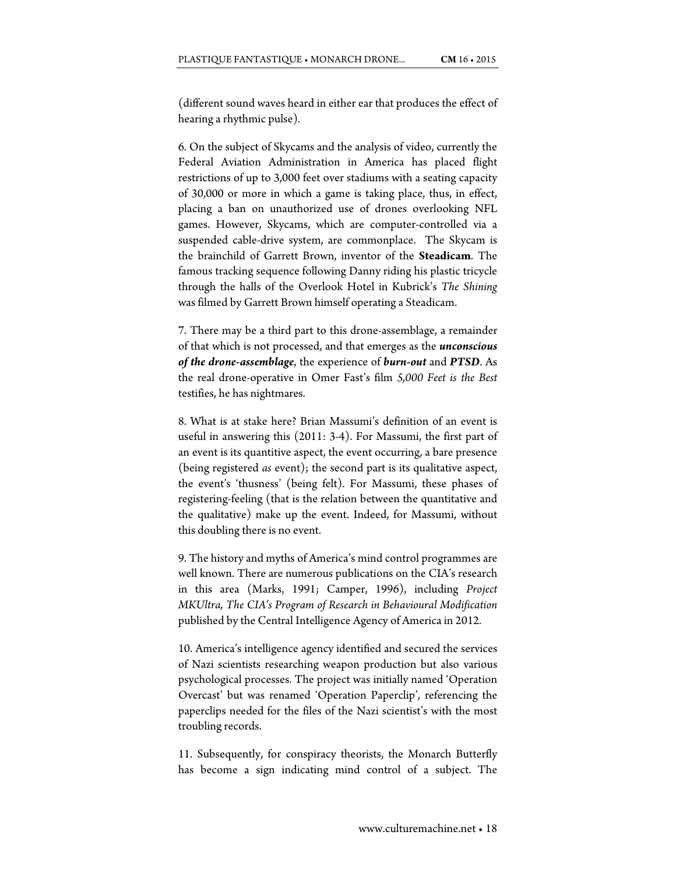(different sound waves heard in either ear that produces the effect of hearing a rhythmic pulse).

6. On the subject of Skycams and the analysis of video, currently the Federal Aviation Administration in America has placed flight restrictions of up to 3,000 feet over stadiums with a seating capacity of 30,000 or more in which a game is taking place, thus, in effect, placing a ban on unauthorized use of drones overlooking NFL games. However, Skycams, which are computer-controlled via a suspended cable-drive system, are commonplace. The Skycam is the brainchild of Garrett Brown, inventor of the **Steadicam**. The famous tracking sequence following Danny riding his plastic tricycle through the halls of the Overlook Hotel in Kubrick's *The Shining* was filmed by Garrett Brown himself operating a Steadicam.

7. There may be a third part to this drone-assemblage, a remainder of that which is not processed, and that emerges as the *unconscious of the drone-assemblage*, the experience of *burn-out* and *PTSD*. As the real drone-operative in Omer Fast's film *5,000 Feet is the Best* testifies, he has nightmares.

8. What is at stake here? Brian Massumi's definition of an event is useful in answering this (2011: 3-4). For Massumi, the first part of an event is its quantitive aspect, the event occurring, a bare presence (being registered *as* event); the second part is its qualitative aspect, the event's 'thusness' (being felt). For Massumi, these phases of registering-feeling (that is the relation between the quantitative and the qualitative) make up the event. Indeed, for Massumi, without this doubling there is no event.

9. The history and myths of America's mind control programmes are well known. There are numerous publications on the CIA's research in this area (Marks, 1991; Camper, 1996), including *Project MKUltra, The CIA's Program of Research in Behavioural Modification*  published by the Central Intelligence Agency of America in 2012*.* 

10. America's intelligence agency identified and secured the services of Nazi scientists researching weapon production but also various psychological processes. The project was initially named 'Operation Overcast' but was renamed 'Operation Paperclip', referencing the paperclips needed for the files of the Nazi scientist's with the most troubling records.

11. Subsequently, for conspiracy theorists, the Monarch Butterfly has become a sign indicating mind control of a subject. The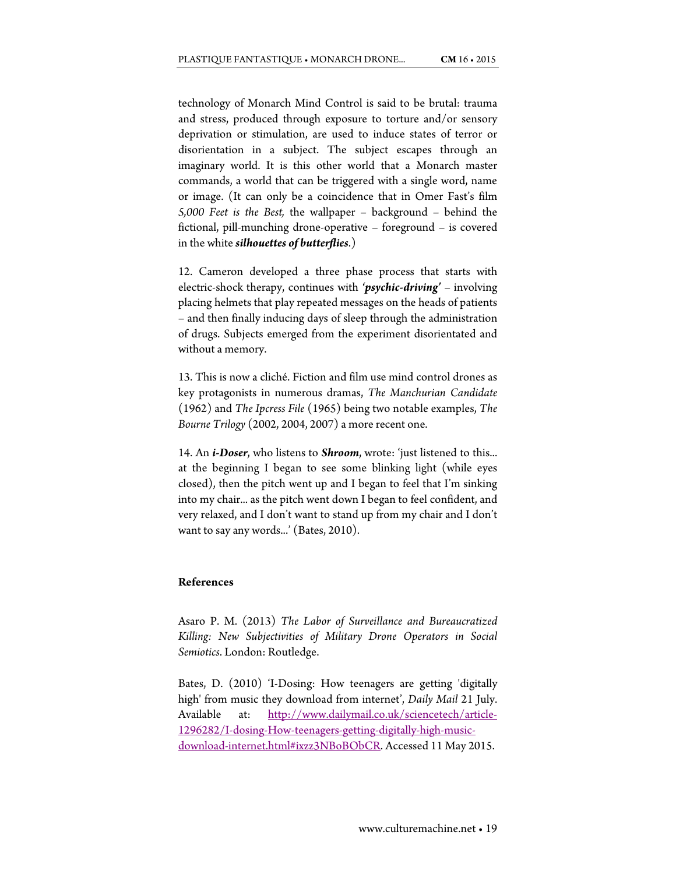technology of Monarch Mind Control is said to be brutal: trauma and stress, produced through exposure to torture and/or sensory deprivation or stimulation, are used to induce states of terror or disorientation in a subject. The subject escapes through an imaginary world. It is this other world that a Monarch master commands, a world that can be triggered with a single word, name or image. (It can only be a coincidence that in Omer Fast's film *5,000 Feet is the Best,* the wallpaper – background – behind the fictional, pill-munching drone-operative – foreground – is covered in the white *silhouettes of butterflies*.)

12. Cameron developed a three phase process that starts with electric-shock therapy, continues with *'psychic-driving'* – involving placing helmets that play repeated messages on the heads of patients – and then finally inducing days of sleep through the administration of drugs. Subjects emerged from the experiment disorientated and without a memory.

13. This is now a cliché. Fiction and film use mind control drones as key protagonists in numerous dramas, *The Manchurian Candidate* (1962) and *The Ipcress File* (1965) being two notable examples, *The Bourne Trilogy* (2002, 2004, 2007) a more recent one.

14. An *i-Doser*, who listens to *Shroom*, wrote: 'just listened to this... at the beginning I began to see some blinking light (while eyes closed), then the pitch went up and I began to feel that I'm sinking into my chair... as the pitch went down I began to feel confident, and very relaxed, and I don't want to stand up from my chair and I don't want to say any words...' (Bates, 2010).

## **References**

Asaro P. M. (2013) *The Labor of Surveillance and Bureaucratized Killing: New Subjectivities of Military Drone Operators in Social Semiotics*. London: Routledge.

Bates, D. (2010) 'I-Dosing: How teenagers are getting 'digitally high' from music they download from internet', *Daily Mail* 21 July. Available at: http://www.dailymail.co.uk/sciencetech/article-1296282/I-dosing-How-teenagers-getting-digitally-high-musicdownload-internet.html#ixzz3NBoBObCR. Accessed 11 May 2015.